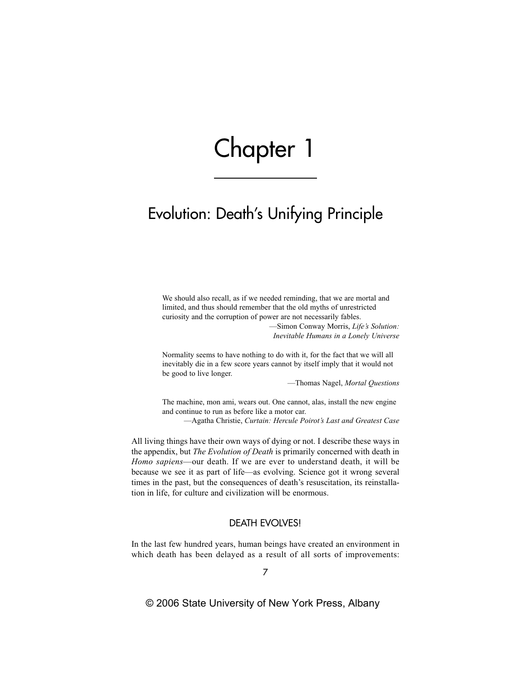# Chapter 1

# Evolution: Death's Unifying Principle

We should also recall, as if we needed reminding, that we are mortal and limited, and thus should remember that the old myths of unrestricted curiosity and the corruption of power are not necessarily fables. —Simon Conway Morris, *Life's Solution:* 

*Inevitable Humans in a Lonely Universe*

Normality seems to have nothing to do with it, for the fact that we will all inevitably die in a few score years cannot by itself imply that it would not be good to live longer.

—Thomas Nagel, *Mortal Questions*

The machine, mon ami, wears out. One cannot, alas, install the new engine and continue to run as before like a motor car.

—Agatha Christie, *Curtain: Hercule Poirot's Last and Greatest Case*

All living things have their own ways of dying or not. I describe these ways in the appendix, but *The Evolution of Death* is primarily concerned with death in *Homo sapiens*—our death. If we are ever to understand death, it will be because we see it as part of life—as evolving. Science got it wrong several times in the past, but the consequences of death's resuscitation, its reinstallation in life, for culture and civilization will be enormous.

# DEATH EVOLVES!

In the last few hundred years, human beings have created an environment in which death has been delayed as a result of all sorts of improvements:

7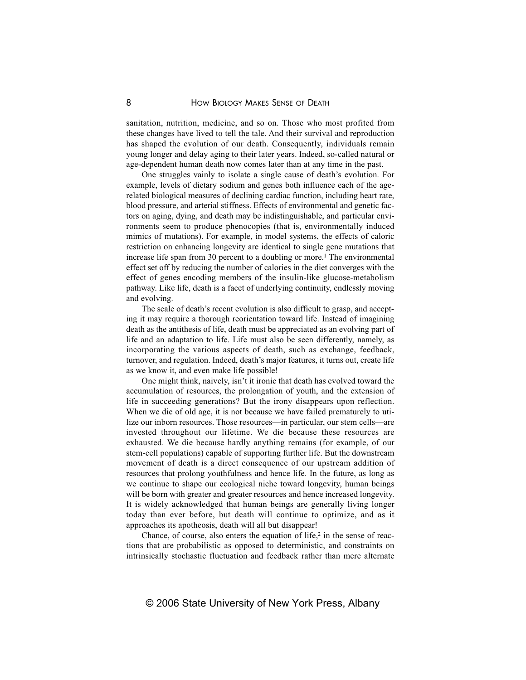sanitation, nutrition, medicine, and so on. Those who most profited from these changes have lived to tell the tale. And their survival and reproduction has shaped the evolution of our death. Consequently, individuals remain young longer and delay aging to their later years. Indeed, so-called natural or age-dependent human death now comes later than at any time in the past.

One struggles vainly to isolate a single cause of death's evolution. For example, levels of dietary sodium and genes both influence each of the agerelated biological measures of declining cardiac function, including heart rate, blood pressure, and arterial stiffness. Effects of environmental and genetic factors on aging, dying, and death may be indistinguishable, and particular environments seem to produce phenocopies (that is, environmentally induced mimics of mutations). For example, in model systems, the effects of caloric restriction on enhancing longevity are identical to single gene mutations that increase life span from 30 percent to a doubling or more.<sup>1</sup> The environmental effect set off by reducing the number of calories in the diet converges with the effect of genes encoding members of the insulin-like glucose-metabolism pathway. Like life, death is a facet of underlying continuity, endlessly moving and evolving.

The scale of death's recent evolution is also difficult to grasp, and accepting it may require a thorough reorientation toward life. Instead of imagining death as the antithesis of life, death must be appreciated as an evolving part of life and an adaptation to life. Life must also be seen differently, namely, as incorporating the various aspects of death, such as exchange, feedback, turnover, and regulation. Indeed, death's major features, it turns out, create life as we know it, and even make life possible!

One might think, naively, isn't it ironic that death has evolved toward the accumulation of resources, the prolongation of youth, and the extension of life in succeeding generations? But the irony disappears upon reflection. When we die of old age, it is not because we have failed prematurely to utilize our inborn resources. Those resources—in particular, our stem cells—are invested throughout our lifetime. We die because these resources are exhausted. We die because hardly anything remains (for example, of our stem-cell populations) capable of supporting further life. But the downstream movement of death is a direct consequence of our upstream addition of resources that prolong youthfulness and hence life. In the future, as long as we continue to shape our ecological niche toward longevity, human beings will be born with greater and greater resources and hence increased longevity. It is widely acknowledged that human beings are generally living longer today than ever before, but death will continue to optimize, and as it approaches its apotheosis, death will all but disappear!

Chance, of course, also enters the equation of life, $2$  in the sense of reactions that are probabilistic as opposed to deterministic, and constraints on intrinsically stochastic fluctuation and feedback rather than mere alternate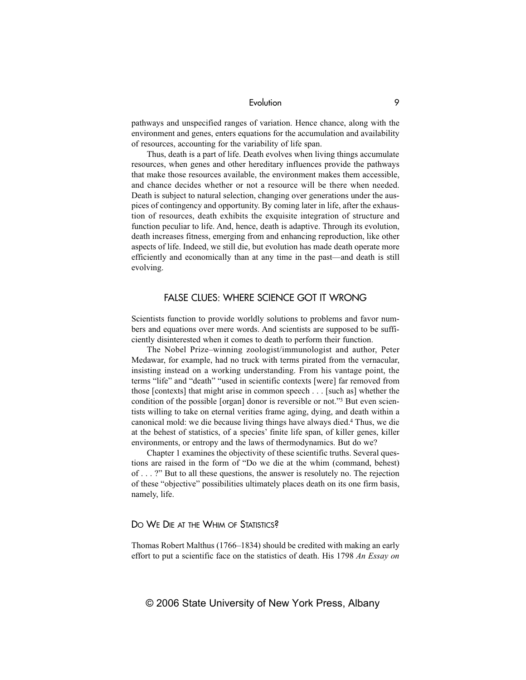pathways and unspecified ranges of variation. Hence chance, along with the environment and genes, enters equations for the accumulation and availability of resources, accounting for the variability of life span.

Thus, death is a part of life. Death evolves when living things accumulate resources, when genes and other hereditary influences provide the pathways that make those resources available, the environment makes them accessible, and chance decides whether or not a resource will be there when needed. Death is subject to natural selection, changing over generations under the auspices of contingency and opportunity. By coming later in life, after the exhaustion of resources, death exhibits the exquisite integration of structure and function peculiar to life. And, hence, death is adaptive. Through its evolution, death increases fitness, emerging from and enhancing reproduction, like other aspects of life. Indeed, we still die, but evolution has made death operate more efficiently and economically than at any time in the past—and death is still evolving.

# FALSE CLUES: WHERE SCIENCE GOT IT WRONG

Scientists function to provide worldly solutions to problems and favor numbers and equations over mere words. And scientists are supposed to be sufficiently disinterested when it comes to death to perform their function.

The Nobel Prize–winning zoologist/immunologist and author, Peter Medawar, for example, had no truck with terms pirated from the vernacular, insisting instead on a working understanding. From his vantage point, the terms "life" and "death" "used in scientific contexts [were] far removed from those [contexts] that might arise in common speech . . . [such as] whether the condition of the possible [organ] donor is reversible or not."3 But even scientists willing to take on eternal verities frame aging, dying, and death within a canonical mold: we die because living things have always died.4 Thus, we die at the behest of statistics, of a species' finite life span, of killer genes, killer environments, or entropy and the laws of thermodynamics. But do we?

Chapter 1 examines the objectivity of these scientific truths. Several questions are raised in the form of "Do we die at the whim (command, behest) of . . . ?" But to all these questions, the answer is resolutely no. The rejection of these "objective" possibilities ultimately places death on its one firm basis, namely, life.

# DO WE DIE AT THE WHIM OF STATISTICS?

Thomas Robert Malthus (1766–1834) should be credited with making an early effort to put a scientific face on the statistics of death. His 1798 *An Essay on*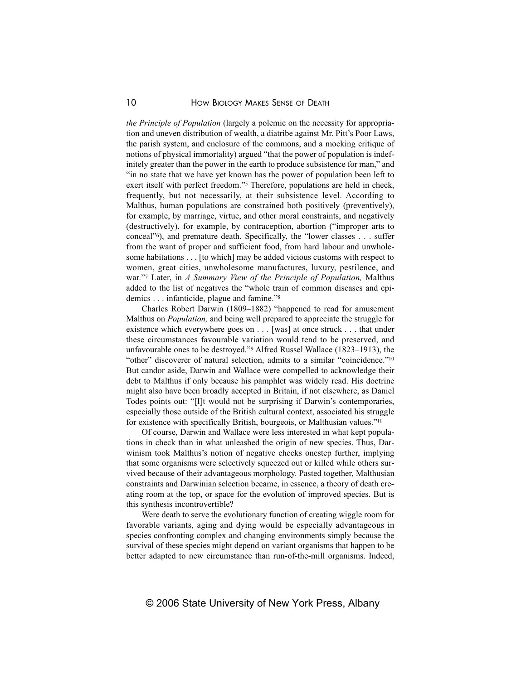*the Principle of Population* (largely a polemic on the necessity for appropriation and uneven distribution of wealth, a diatribe against Mr. Pitt's Poor Laws, the parish system, and enclosure of the commons, and a mocking critique of notions of physical immortality) argued "that the power of population is indefinitely greater than the power in the earth to produce subsistence for man," and "in no state that we have yet known has the power of population been left to exert itself with perfect freedom."5 Therefore, populations are held in check, frequently, but not necessarily, at their subsistence level. According to Malthus, human populations are constrained both positively (preventively), for example, by marriage, virtue, and other moral constraints, and negatively (destructively), for example, by contraception, abortion ("improper arts to conceal"6), and premature death. Specifically, the "lower classes . . . suffer from the want of proper and sufficient food, from hard labour and unwholesome habitations . . . [to which] may be added vicious customs with respect to women, great cities, unwholesome manufactures, luxury, pestilence, and war."7 Later, in *A Summary View of the Principle of Population,* Malthus added to the list of negatives the "whole train of common diseases and epidemics . . . infanticide, plague and famine."8

Charles Robert Darwin (1809–1882) "happened to read for amusement Malthus on *Population,* and being well prepared to appreciate the struggle for existence which everywhere goes on . . . [was] at once struck . . . that under these circumstances favourable variation would tend to be preserved, and unfavourable ones to be destroyed."9 Alfred Russel Wallace (1823–1913), the "other" discoverer of natural selection, admits to a similar "coincidence."10 But candor aside, Darwin and Wallace were compelled to acknowledge their debt to Malthus if only because his pamphlet was widely read. His doctrine might also have been broadly accepted in Britain, if not elsewhere, as Daniel Todes points out: "[I]t would not be surprising if Darwin's contemporaries, especially those outside of the British cultural context, associated his struggle for existence with specifically British, bourgeois, or Malthusian values."11

Of course, Darwin and Wallace were less interested in what kept populations in check than in what unleashed the origin of new species. Thus, Darwinism took Malthus's notion of negative checks onestep further, implying that some organisms were selectively squeezed out or killed while others survived because of their advantageous morphology. Pasted together, Malthusian constraints and Darwinian selection became, in essence, a theory of death creating room at the top, or space for the evolution of improved species. But is this synthesis incontrovertible?

Were death to serve the evolutionary function of creating wiggle room for favorable variants, aging and dying would be especially advantageous in species confronting complex and changing environments simply because the survival of these species might depend on variant organisms that happen to be better adapted to new circumstance than run-of-the-mill organisms. Indeed,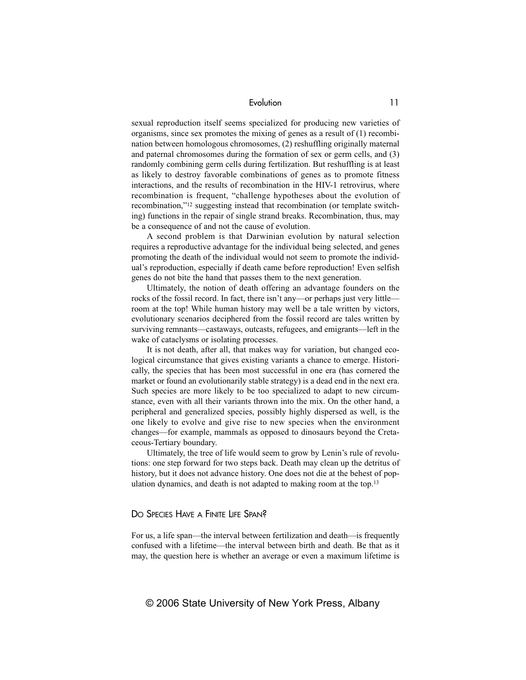sexual reproduction itself seems specialized for producing new varieties of organisms, since sex promotes the mixing of genes as a result of (1) recombination between homologous chromosomes, (2) reshuffling originally maternal and paternal chromosomes during the formation of sex or germ cells, and (3) randomly combining germ cells during fertilization. But reshuffling is at least as likely to destroy favorable combinations of genes as to promote fitness interactions, and the results of recombination in the HIV-1 retrovirus, where recombination is frequent, "challenge hypotheses about the evolution of recombination,"12 suggesting instead that recombination (or template switching) functions in the repair of single strand breaks. Recombination, thus, may be a consequence of and not the cause of evolution.

A second problem is that Darwinian evolution by natural selection requires a reproductive advantage for the individual being selected, and genes promoting the death of the individual would not seem to promote the individual's reproduction, especially if death came before reproduction! Even selfish genes do not bite the hand that passes them to the next generation.

Ultimately, the notion of death offering an advantage founders on the rocks of the fossil record. In fact, there isn't any—or perhaps just very little room at the top! While human history may well be a tale written by victors, evolutionary scenarios deciphered from the fossil record are tales written by surviving remnants—castaways, outcasts, refugees, and emigrants—left in the wake of cataclysms or isolating processes.

It is not death, after all, that makes way for variation, but changed ecological circumstance that gives existing variants a chance to emerge. Historically, the species that has been most successful in one era (has cornered the market or found an evolutionarily stable strategy) is a dead end in the next era. Such species are more likely to be too specialized to adapt to new circumstance, even with all their variants thrown into the mix. On the other hand, a peripheral and generalized species, possibly highly dispersed as well, is the one likely to evolve and give rise to new species when the environment changes—for example, mammals as opposed to dinosaurs beyond the Cretaceous-Tertiary boundary.

Ultimately, the tree of life would seem to grow by Lenin's rule of revolutions: one step forward for two steps back. Death may clean up the detritus of history, but it does not advance history. One does not die at the behest of population dynamics, and death is not adapted to making room at the top.13

### DO SPECIES HAVE A FINITE LIFE SPAN?

For us, a life span—the interval between fertilization and death—is frequently confused with a lifetime—the interval between birth and death. Be that as it may, the question here is whether an average or even a maximum lifetime is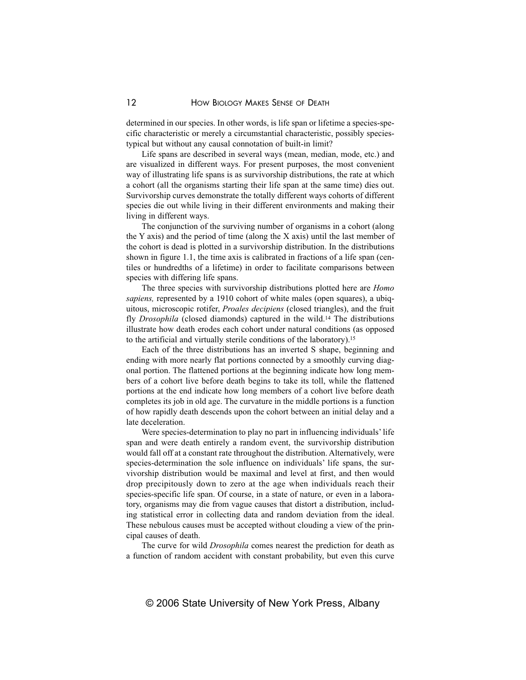determined in our species. In other words, is life span or lifetime a species-specific characteristic or merely a circumstantial characteristic, possibly speciestypical but without any causal connotation of built-in limit?

Life spans are described in several ways (mean, median, mode, etc.) and are visualized in different ways. For present purposes, the most convenient way of illustrating life spans is as survivorship distributions, the rate at which a cohort (all the organisms starting their life span at the same time) dies out. Survivorship curves demonstrate the totally different ways cohorts of different species die out while living in their different environments and making their living in different ways.

The conjunction of the surviving number of organisms in a cohort (along the Y axis) and the period of time (along the X axis) until the last member of the cohort is dead is plotted in a survivorship distribution. In the distributions shown in figure 1.1, the time axis is calibrated in fractions of a life span (centiles or hundredths of a lifetime) in order to facilitate comparisons between species with differing life spans.

The three species with survivorship distributions plotted here are *Homo sapiens,* represented by a 1910 cohort of white males (open squares), a ubiquitous, microscopic rotifer, *Proales decipiens* (closed triangles), and the fruit fly *Drosophila* (closed diamonds) captured in the wild.14 The distributions illustrate how death erodes each cohort under natural conditions (as opposed to the artificial and virtually sterile conditions of the laboratory).15

Each of the three distributions has an inverted S shape, beginning and ending with more nearly flat portions connected by a smoothly curving diagonal portion. The flattened portions at the beginning indicate how long members of a cohort live before death begins to take its toll, while the flattened portions at the end indicate how long members of a cohort live before death completes its job in old age. The curvature in the middle portions is a function of how rapidly death descends upon the cohort between an initial delay and a late deceleration.

Were species-determination to play no part in influencing individuals' life span and were death entirely a random event, the survivorship distribution would fall off at a constant rate throughout the distribution. Alternatively, were species-determination the sole influence on individuals' life spans, the survivorship distribution would be maximal and level at first, and then would drop precipitously down to zero at the age when individuals reach their species-specific life span. Of course, in a state of nature, or even in a laboratory, organisms may die from vague causes that distort a distribution, including statistical error in collecting data and random deviation from the ideal. These nebulous causes must be accepted without clouding a view of the principal causes of death.

The curve for wild *Drosophila* comes nearest the prediction for death as a function of random accident with constant probability, but even this curve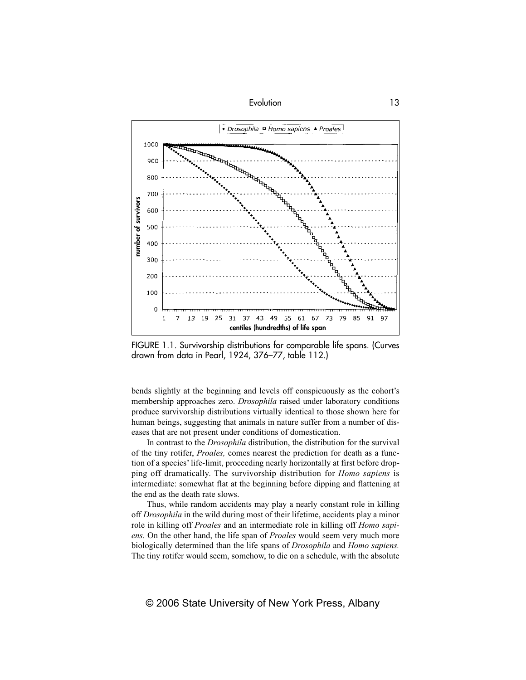

FIGURE 1.1. Survivorship distributions for comparable life spans. (Curves

bends slightly at the beginning and levels off conspicuously as the cohort's membership approaches zero. *Drosophila* raised under laboratory conditions produce survivorship distributions virtually identical to those shown here for human beings, suggesting that animals in nature suffer from a number of diseases that are not present under conditions of domestication.

In contrast to the *Drosophila* distribution, the distribution for the survival of the tiny rotifer, *Proales,* comes nearest the prediction for death as a function of a species' life-limit, proceeding nearly horizontally at first before dropping off dramatically. The survivorship distribution for *Homo sapiens* is intermediate: somewhat flat at the beginning before dipping and flattening at the end as the death rate slows.

Thus, while random accidents may play a nearly constant role in killing off *Drosophila* in the wild during most of their lifetime, accidents play a minor role in killing off *Proales* and an intermediate role in killing off *Homo sapiens.* On the other hand, the life span of *Proales* would seem very much more biologically determined than the life spans of *Drosophila* and *Homo sapiens.* The tiny rotifer would seem, somehow, to die on a schedule, with the absolute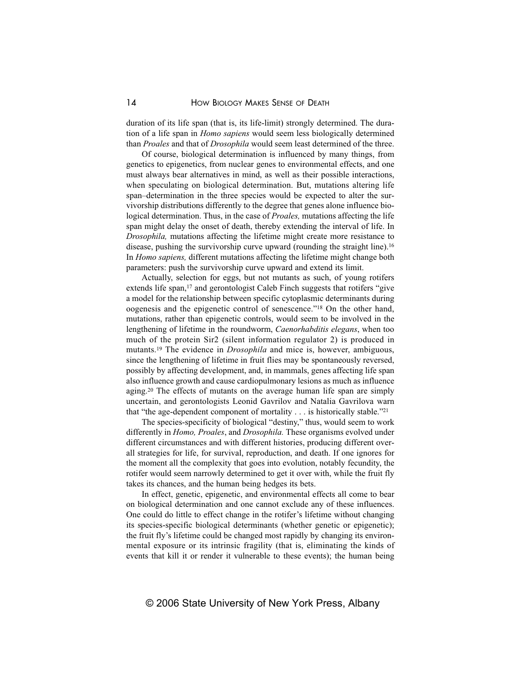duration of its life span (that is, its life-limit) strongly determined. The duration of a life span in *Homo sapiens* would seem less biologically determined than *Proales* and that of *Drosophila* would seem least determined of the three.

Of course, biological determination is influenced by many things, from genetics to epigenetics, from nuclear genes to environmental effects, and one must always bear alternatives in mind, as well as their possible interactions, when speculating on biological determination. But, mutations altering life span–determination in the three species would be expected to alter the survivorship distributions differently to the degree that genes alone influence biological determination. Thus, in the case of *Proales,* mutations affecting the life span might delay the onset of death, thereby extending the interval of life. In *Drosophila,* mutations affecting the lifetime might create more resistance to disease, pushing the survivorship curve upward (rounding the straight line).<sup>16</sup> In *Homo sapiens,* different mutations affecting the lifetime might change both parameters: push the survivorship curve upward and extend its limit.

Actually, selection for eggs, but not mutants as such, of young rotifers extends life span,<sup>17</sup> and gerontologist Caleb Finch suggests that rotifers "give a model for the relationship between specific cytoplasmic determinants during oogenesis and the epigenetic control of senescence."18 On the other hand, mutations, rather than epigenetic controls, would seem to be involved in the lengthening of lifetime in the roundworm, *Caenorhabditis elegans*, when too much of the protein Sir2 (silent information regulator 2) is produced in mutants.19 The evidence in *Drosophila* and mice is, however, ambiguous, since the lengthening of lifetime in fruit flies may be spontaneously reversed, possibly by affecting development, and, in mammals, genes affecting life span also influence growth and cause cardiopulmonary lesions as much as influence aging.20 The effects of mutants on the average human life span are simply uncertain, and gerontologists Leonid Gavrilov and Natalia Gavrilova warn that "the age-dependent component of mortality . . . is historically stable."21

The species-specificity of biological "destiny," thus, would seem to work differently in *Homo, Proales*, and *Drosophila.* These organisms evolved under different circumstances and with different histories, producing different overall strategies for life, for survival, reproduction, and death. If one ignores for the moment all the complexity that goes into evolution, notably fecundity, the rotifer would seem narrowly determined to get it over with, while the fruit fly takes its chances, and the human being hedges its bets.

In effect, genetic, epigenetic, and environmental effects all come to bear on biological determination and one cannot exclude any of these influences. One could do little to effect change in the rotifer's lifetime without changing its species-specific biological determinants (whether genetic or epigenetic); the fruit fly's lifetime could be changed most rapidly by changing its environmental exposure or its intrinsic fragility (that is, eliminating the kinds of events that kill it or render it vulnerable to these events); the human being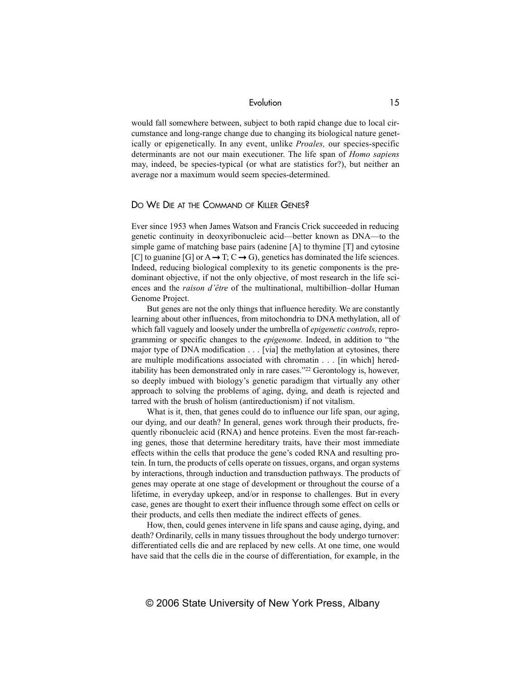would fall somewhere between, subject to both rapid change due to local circumstance and long-range change due to changing its biological nature genetically or epigenetically. In any event, unlike *Proales,* our species-specific determinants are not our main executioner. The life span of *Homo sapiens* may, indeed, be species-typical (or what are statistics for?), but neither an average nor a maximum would seem species-determined.

# DO WE DIE AT THE COMMAND OF KILLER GENES?

Ever since 1953 when James Watson and Francis Crick succeeded in reducing genetic continuity in deoxyribonucleic acid—better known as DNA—to the simple game of matching base pairs (adenine [A] to thymine [T] and cytosine [C] to guanine [G] or  $A \rightarrow T$ ;  $C \rightarrow G$ ), genetics has dominated the life sciences. Indeed, reducing biological complexity to its genetic components is the predominant objective, if not the only objective, of most research in the life sciences and the *raison d'être* of the multinational, multibillion–dollar Human Genome Project.

But genes are not the only things that influence heredity. We are constantly learning about other influences, from mitochondria to DNA methylation, all of which fall vaguely and loosely under the umbrella of *epigenetic controls,* reprogramming or specific changes to the *epigenome.* Indeed, in addition to "the major type of DNA modification . . . [via] the methylation at cytosines, there are multiple modifications associated with chromatin . . . [in which] hereditability has been demonstrated only in rare cases."22 Gerontology is, however, so deeply imbued with biology's genetic paradigm that virtually any other approach to solving the problems of aging, dying, and death is rejected and tarred with the brush of holism (antireductionism) if not vitalism.

What is it, then, that genes could do to influence our life span, our aging, our dying, and our death? In general, genes work through their products, frequently ribonucleic acid (RNA) and hence proteins. Even the most far-reaching genes, those that determine hereditary traits, have their most immediate effects within the cells that produce the gene's coded RNA and resulting protein. In turn, the products of cells operate on tissues, organs, and organ systems by interactions, through induction and transduction pathways. The products of genes may operate at one stage of development or throughout the course of a lifetime, in everyday upkeep, and/or in response to challenges. But in every case, genes are thought to exert their influence through some effect on cells or their products, and cells then mediate the indirect effects of genes.

How, then, could genes intervene in life spans and cause aging, dying, and death? Ordinarily, cells in many tissues throughout the body undergo turnover: differentiated cells die and are replaced by new cells. At one time, one would have said that the cells die in the course of differentiation, for example, in the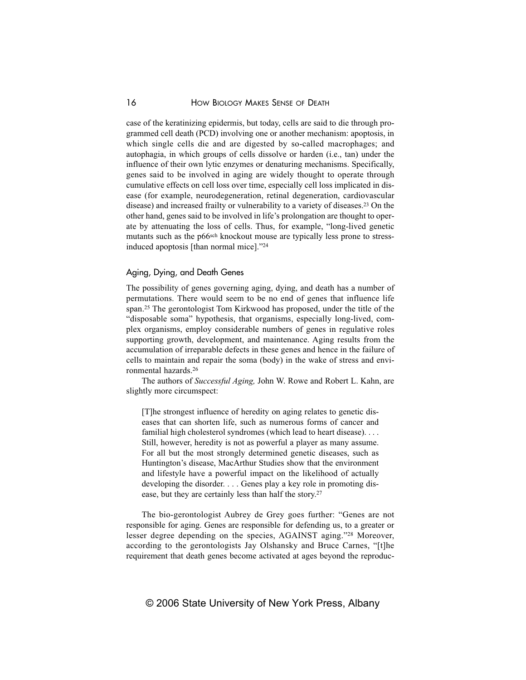case of the keratinizing epidermis, but today, cells are said to die through programmed cell death (PCD) involving one or another mechanism: apoptosis, in which single cells die and are digested by so-called macrophages; and autophagia, in which groups of cells dissolve or harden (i.e., tan) under the influence of their own lytic enzymes or denaturing mechanisms. Specifically, genes said to be involved in aging are widely thought to operate through cumulative effects on cell loss over time, especially cell loss implicated in disease (for example, neurodegeneration, retinal degeneration, cardiovascular disease) and increased frailty or vulnerability to a variety of diseases.23 On the other hand, genes said to be involved in life's prolongation are thought to operate by attenuating the loss of cells. Thus, for example, "long-lived genetic mutants such as the p66<sup>sch</sup> knockout mouse are typically less prone to stressinduced apoptosis [than normal mice]."24

# Aging, Dying, and Death Genes

The possibility of genes governing aging, dying, and death has a number of permutations. There would seem to be no end of genes that influence life span.25 The gerontologist Tom Kirkwood has proposed, under the title of the "disposable soma" hypothesis, that organisms, especially long-lived, complex organisms, employ considerable numbers of genes in regulative roles supporting growth, development, and maintenance. Aging results from the accumulation of irreparable defects in these genes and hence in the failure of cells to maintain and repair the soma (body) in the wake of stress and environmental hazards.26

The authors of *Successful Aging,* John W. Rowe and Robert L. Kahn, are slightly more circumspect:

[T]he strongest influence of heredity on aging relates to genetic diseases that can shorten life, such as numerous forms of cancer and familial high cholesterol syndromes (which lead to heart disease). . . . Still, however, heredity is not as powerful a player as many assume. For all but the most strongly determined genetic diseases, such as Huntington's disease, MacArthur Studies show that the environment and lifestyle have a powerful impact on the likelihood of actually developing the disorder. . . . Genes play a key role in promoting disease, but they are certainly less than half the story.<sup>27</sup>

The bio-gerontologist Aubrey de Grey goes further: "Genes are not responsible for aging. Genes are responsible for defending us, to a greater or lesser degree depending on the species, AGAINST aging."28 Moreover, according to the gerontologists Jay Olshansky and Bruce Carnes, "[t]he requirement that death genes become activated at ages beyond the reproduc-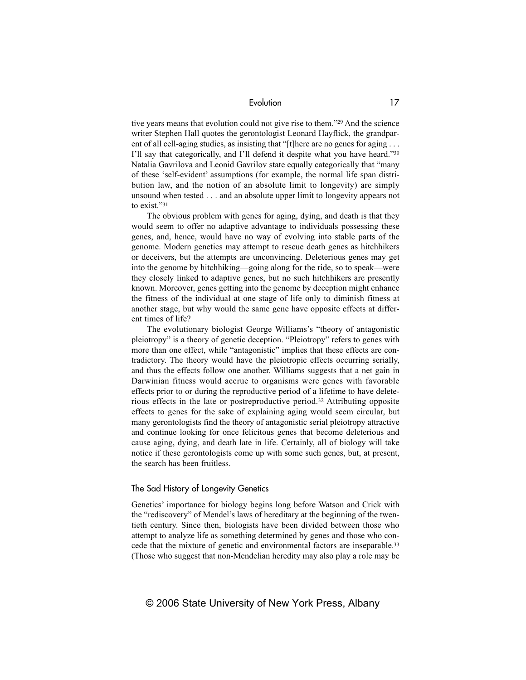tive years means that evolution could not give rise to them."29 And the science writer Stephen Hall quotes the gerontologist Leonard Hayflick, the grandparent of all cell-aging studies, as insisting that "[t]here are no genes for aging . . . I'll say that categorically, and I'll defend it despite what you have heard."30 Natalia Gavrilova and Leonid Gavrilov state equally categorically that "many of these 'self-evident' assumptions (for example, the normal life span distribution law, and the notion of an absolute limit to longevity) are simply unsound when tested . . . and an absolute upper limit to longevity appears not to exist."31

The obvious problem with genes for aging, dying, and death is that they would seem to offer no adaptive advantage to individuals possessing these genes, and, hence, would have no way of evolving into stable parts of the genome. Modern genetics may attempt to rescue death genes as hitchhikers or deceivers, but the attempts are unconvincing. Deleterious genes may get into the genome by hitchhiking—going along for the ride, so to speak—were they closely linked to adaptive genes, but no such hitchhikers are presently known. Moreover, genes getting into the genome by deception might enhance the fitness of the individual at one stage of life only to diminish fitness at another stage, but why would the same gene have opposite effects at different times of life?

The evolutionary biologist George Williams's "theory of antagonistic pleiotropy" is a theory of genetic deception. "Pleiotropy" refers to genes with more than one effect, while "antagonistic" implies that these effects are contradictory. The theory would have the pleiotropic effects occurring serially, and thus the effects follow one another. Williams suggests that a net gain in Darwinian fitness would accrue to organisms were genes with favorable effects prior to or during the reproductive period of a lifetime to have deleterious effects in the late or postreproductive period.32 Attributing opposite effects to genes for the sake of explaining aging would seem circular, but many gerontologists find the theory of antagonistic serial pleiotropy attractive and continue looking for once felicitous genes that become deleterious and cause aging, dying, and death late in life. Certainly, all of biology will take notice if these gerontologists come up with some such genes, but, at present, the search has been fruitless.

#### The Sad History of Longevity Genetics

Genetics' importance for biology begins long before Watson and Crick with the "rediscovery" of Mendel's laws of hereditary at the beginning of the twentieth century. Since then, biologists have been divided between those who attempt to analyze life as something determined by genes and those who concede that the mixture of genetic and environmental factors are inseparable.33 (Those who suggest that non-Mendelian heredity may also play a role may be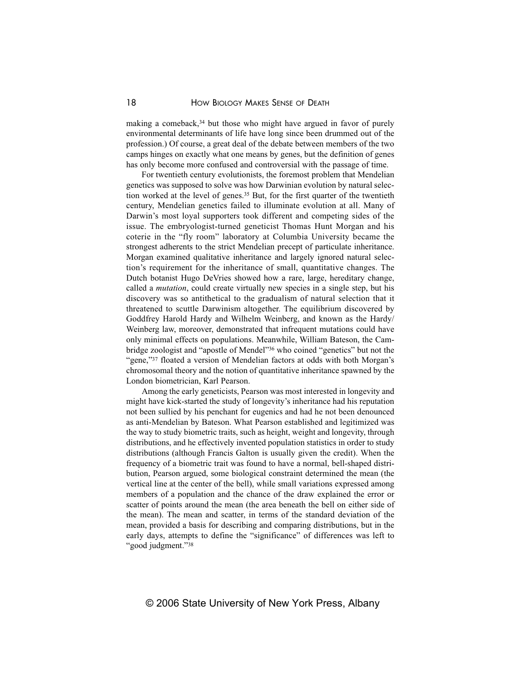making a comeback, $34$  but those who might have argued in favor of purely environmental determinants of life have long since been drummed out of the profession.) Of course, a great deal of the debate between members of the two camps hinges on exactly what one means by genes, but the definition of genes has only become more confused and controversial with the passage of time.

For twentieth century evolutionists, the foremost problem that Mendelian genetics was supposed to solve was how Darwinian evolution by natural selection worked at the level of genes.35 But, for the first quarter of the twentieth century, Mendelian genetics failed to illuminate evolution at all. Many of Darwin's most loyal supporters took different and competing sides of the issue. The embryologist-turned geneticist Thomas Hunt Morgan and his coterie in the "fly room" laboratory at Columbia University became the strongest adherents to the strict Mendelian precept of particulate inheritance. Morgan examined qualitative inheritance and largely ignored natural selection's requirement for the inheritance of small, quantitative changes. The Dutch botanist Hugo DeVries showed how a rare, large, hereditary change, called a *mutation*, could create virtually new species in a single step, but his discovery was so antithetical to the gradualism of natural selection that it threatened to scuttle Darwinism altogether. The equilibrium discovered by Goddfrey Harold Hardy and Wilhelm Weinberg, and known as the Hardy/ Weinberg law, moreover, demonstrated that infrequent mutations could have only minimal effects on populations. Meanwhile, William Bateson, the Cambridge zoologist and "apostle of Mendel"36 who coined "genetics" but not the "gene,"37 floated a version of Mendelian factors at odds with both Morgan's chromosomal theory and the notion of quantitative inheritance spawned by the London biometrician, Karl Pearson.

Among the early geneticists, Pearson was most interested in longevity and might have kick-started the study of longevity's inheritance had his reputation not been sullied by his penchant for eugenics and had he not been denounced as anti-Mendelian by Bateson. What Pearson established and legitimized was the way to study biometric traits, such as height, weight and longevity, through distributions, and he effectively invented population statistics in order to study distributions (although Francis Galton is usually given the credit). When the frequency of a biometric trait was found to have a normal, bell-shaped distribution, Pearson argued, some biological constraint determined the mean (the vertical line at the center of the bell), while small variations expressed among members of a population and the chance of the draw explained the error or scatter of points around the mean (the area beneath the bell on either side of the mean). The mean and scatter, in terms of the standard deviation of the mean, provided a basis for describing and comparing distributions, but in the early days, attempts to define the "significance" of differences was left to "good judgment."38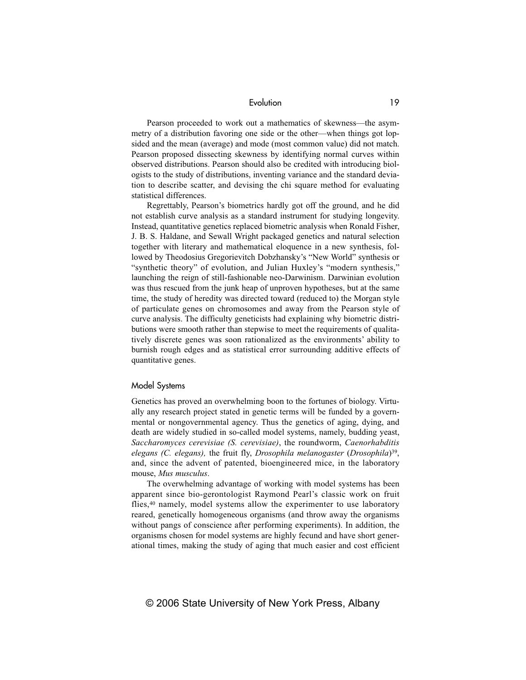Pearson proceeded to work out a mathematics of skewness—the asymmetry of a distribution favoring one side or the other—when things got lopsided and the mean (average) and mode (most common value) did not match. Pearson proposed dissecting skewness by identifying normal curves within observed distributions. Pearson should also be credited with introducing biologists to the study of distributions, inventing variance and the standard deviation to describe scatter, and devising the chi square method for evaluating statistical differences.

Regrettably, Pearson's biometrics hardly got off the ground, and he did not establish curve analysis as a standard instrument for studying longevity. Instead, quantitative genetics replaced biometric analysis when Ronald Fisher, J. B. S. Haldane, and Sewall Wright packaged genetics and natural selection together with literary and mathematical eloquence in a new synthesis, followed by Theodosius Gregorievitch Dobzhansky's "New World" synthesis or "synthetic theory" of evolution, and Julian Huxley's "modern synthesis," launching the reign of still-fashionable neo-Darwinism. Darwinian evolution was thus rescued from the junk heap of unproven hypotheses, but at the same time, the study of heredity was directed toward (reduced to) the Morgan style of particulate genes on chromosomes and away from the Pearson style of curve analysis. The difficulty geneticists had explaining why biometric distributions were smooth rather than stepwise to meet the requirements of qualitatively discrete genes was soon rationalized as the environments' ability to burnish rough edges and as statistical error surrounding additive effects of quantitative genes.

#### Model Systems

Genetics has proved an overwhelming boon to the fortunes of biology. Virtually any research project stated in genetic terms will be funded by a governmental or nongovernmental agency. Thus the genetics of aging, dying, and death are widely studied in so-called model systems, namely, budding yeast, *Saccharomyces cerevisiae (S. cerevisiae)*, the roundworm, *Caenorhabditis elegans (C. elegans),* the fruit fly, *Drosophila melanogaster* (*Drosophila*)39, and, since the advent of patented, bioengineered mice, in the laboratory mouse, *Mus musculus*.

The overwhelming advantage of working with model systems has been apparent since bio-gerontologist Raymond Pearl's classic work on fruit flies,40 namely, model systems allow the experimenter to use laboratory reared, genetically homogeneous organisms (and throw away the organisms without pangs of conscience after performing experiments). In addition, the organisms chosen for model systems are highly fecund and have short generational times, making the study of aging that much easier and cost efficient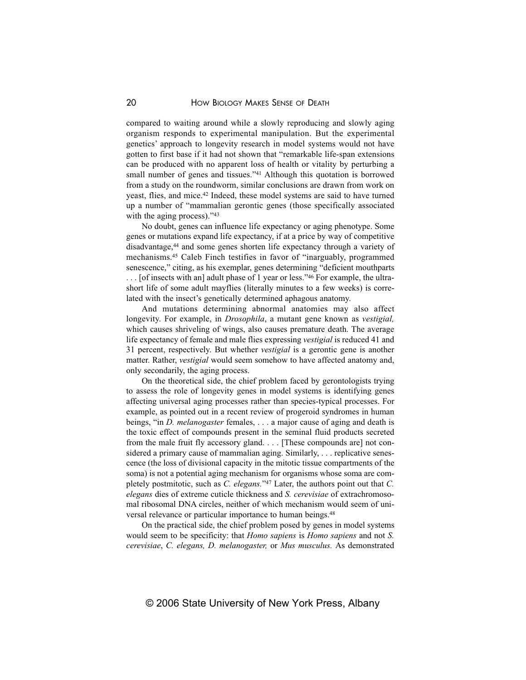compared to waiting around while a slowly reproducing and slowly aging organism responds to experimental manipulation. But the experimental genetics' approach to longevity research in model systems would not have gotten to first base if it had not shown that "remarkable life-span extensions can be produced with no apparent loss of health or vitality by perturbing a small number of genes and tissues."<sup>41</sup> Although this quotation is borrowed from a study on the roundworm, similar conclusions are drawn from work on yeast, flies, and mice.42 Indeed, these model systems are said to have turned up a number of "mammalian gerontic genes (those specifically associated with the aging process)."43

No doubt, genes can influence life expectancy or aging phenotype. Some genes or mutations expand life expectancy, if at a price by way of competitive disadvantage,44 and some genes shorten life expectancy through a variety of mechanisms.45 Caleb Finch testifies in favor of "inarguably, programmed senescence," citing, as his exemplar, genes determining "deficient mouthparts . . . [of insects with an] adult phase of 1 year or less."46 For example, the ultrashort life of some adult mayflies (literally minutes to a few weeks) is correlated with the insect's genetically determined aphagous anatomy.

And mutations determining abnormal anatomies may also affect longevity. For example, in *Drosophila*, a mutant gene known as *vestigial,* which causes shriveling of wings, also causes premature death. The average life expectancy of female and male flies expressing *vestigial* is reduced 41 and 31 percent, respectively. But whether *vestigial* is a gerontic gene is another matter. Rather, *vestigial* would seem somehow to have affected anatomy and, only secondarily, the aging process.

On the theoretical side, the chief problem faced by gerontologists trying to assess the role of longevity genes in model systems is identifying genes affecting universal aging processes rather than species-typical processes. For example, as pointed out in a recent review of progeroid syndromes in human beings, "in *D. melanogaster* females, . . . a major cause of aging and death is the toxic effect of compounds present in the seminal fluid products secreted from the male fruit fly accessory gland. . . . [These compounds are] not considered a primary cause of mammalian aging. Similarly, ... replicative senescence (the loss of divisional capacity in the mitotic tissue compartments of the soma) is not a potential aging mechanism for organisms whose soma are completely postmitotic, such as *C. elegans.*"47 Later, the authors point out that *C. elegans* dies of extreme cuticle thickness and *S. cerevisiae* of extrachromosomal ribosomal DNA circles, neither of which mechanism would seem of universal relevance or particular importance to human beings.48

On the practical side, the chief problem posed by genes in model systems would seem to be specificity: that *Homo sapiens* is *Homo sapiens* and not *S. cerevisiae*, *C. elegans, D. melanogaster,* or *Mus musculus.* As demonstrated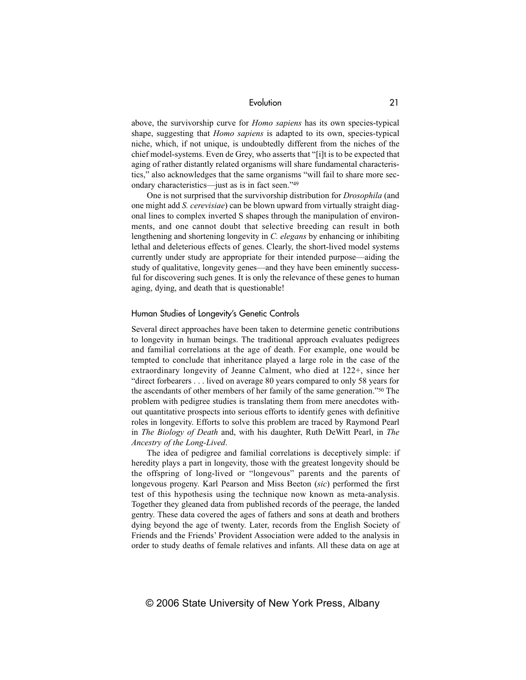above, the survivorship curve for *Homo sapiens* has its own species-typical shape, suggesting that *Homo sapiens* is adapted to its own, species-typical niche, which, if not unique, is undoubtedly different from the niches of the chief model-systems. Even de Grey, who asserts that "[i]t is to be expected that aging of rather distantly related organisms will share fundamental characteristics," also acknowledges that the same organisms "will fail to share more secondary characteristics—just as is in fact seen."49

One is not surprised that the survivorship distribution for *Drosophila* (and one might add *S. cerevisiae*) can be blown upward from virtually straight diagonal lines to complex inverted S shapes through the manipulation of environments, and one cannot doubt that selective breeding can result in both lengthening and shortening longevity in *C. elegans* by enhancing or inhibiting lethal and deleterious effects of genes. Clearly, the short-lived model systems currently under study are appropriate for their intended purpose—aiding the study of qualitative, longevity genes—and they have been eminently successful for discovering such genes. It is only the relevance of these genes to human aging, dying, and death that is questionable!

#### Human Studies of Longevity's Genetic Controls

Several direct approaches have been taken to determine genetic contributions to longevity in human beings. The traditional approach evaluates pedigrees and familial correlations at the age of death. For example, one would be tempted to conclude that inheritance played a large role in the case of the extraordinary longevity of Jeanne Calment, who died at 122+, since her "direct forbearers . . . lived on average 80 years compared to only 58 years for the ascendants of other members of her family of the same generation."50 The problem with pedigree studies is translating them from mere anecdotes without quantitative prospects into serious efforts to identify genes with definitive roles in longevity. Efforts to solve this problem are traced by Raymond Pearl in *The Biology of Death* and, with his daughter, Ruth DeWitt Pearl, in *The Ancestry of the Long-Lived*.

The idea of pedigree and familial correlations is deceptively simple: if heredity plays a part in longevity, those with the greatest longevity should be the offspring of long-lived or "longevous" parents and the parents of longevous progeny. Karl Pearson and Miss Beeton (*sic*) performed the first test of this hypothesis using the technique now known as meta-analysis. Together they gleaned data from published records of the peerage, the landed gentry. These data covered the ages of fathers and sons at death and brothers dying beyond the age of twenty. Later, records from the English Society of Friends and the Friends' Provident Association were added to the analysis in order to study deaths of female relatives and infants. All these data on age at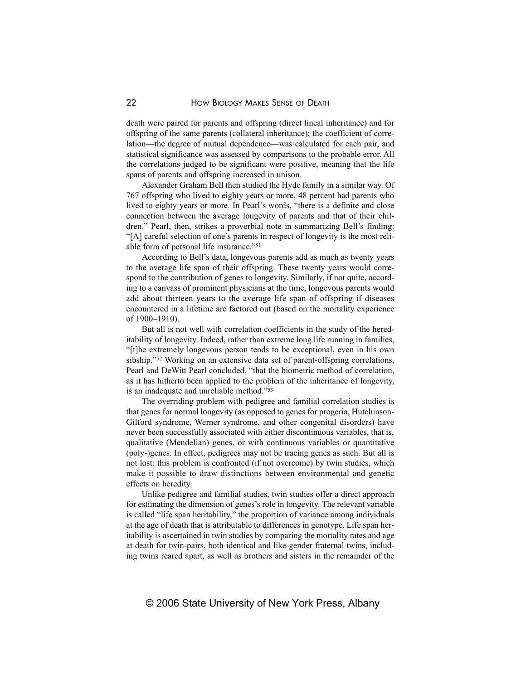death were paired for parents and offspring (direct lineal inheritance) and for offspring of the same parents (collateral inheritance); the coefficient of correlation—the degree of mutual dependence—was calculated for each pair, and statistical significance was assessed by comparisons to the probable error. All the correlations judged to be significant were positive, meaning that the life spans of parents and offspring increased in unison.

Alexander Graham Bell then studied the Hyde family in a similar way. Of 767 offspring who lived to eighty years or more, 48 percent had parents who lived to eighty years or more. In Pearl's words, "there is a definite and close connection between the average longevity of parents and that of their children." Pearl, then, strikes a proverbial note in summarizing Bell's finding: "[A] careful selection of one's parents in respect of longevity is the most reliable form of personal life insurance."51

According to Bell's data, longevous parents add as much as twenty years to the average life span of their offspring. These twenty years would correspond to the contribution of genes to longevity. Similarly, if not quite, according to a canvass of prominent physicians at the time, longevous parents would add about thirteen years to the average life span of offspring if diseases encountered in a lifetime are factored out (based on the mortality experience of 1900–1910).

But all is not well with correlation coefficients in the study of the hereditability of longevity. Indeed, rather than extreme long life running in families, "[t]he extremely longevous person tends to be exceptional, even in his own sibship."52 Working on an extensive data set of parent-offspring correlations, Pearl and DeWitt Pearl concluded, "that the biometric method of correlation, as it has hitherto been applied to the problem of the inheritance of longevity, is an inadequate and unreliable method."53

The overriding problem with pedigree and familial correlation studies is that genes for normal longevity (as opposed to genes for progeria, Hutchinson-Gilford syndrome, Werner syndrome, and other congenital disorders) have never been successfully associated with either discontinuous variables, that is, qualitative (Mendelian) genes, or with continuous variables or quantitative (poly-)genes. In effect, pedigrees may not be tracing genes as such. But all is not lost: this problem is confronted (if not overcome) by twin studies, which make it possible to draw distinctions between environmental and genetic effects on heredity.

Unlike pedigree and familial studies, twin studies offer a direct approach for estimating the dimension of genes's role in longevity. The relevant variable is called "life span heritability," the proportion of variance among individuals at the age of death that is attributable to differences in genotype. Life span heritability is ascertained in twin studies by comparing the mortality rates and age at death for twin-pairs, both identical and like-gender fraternal twins, including twins reared apart, as well as brothers and sisters in the remainder of the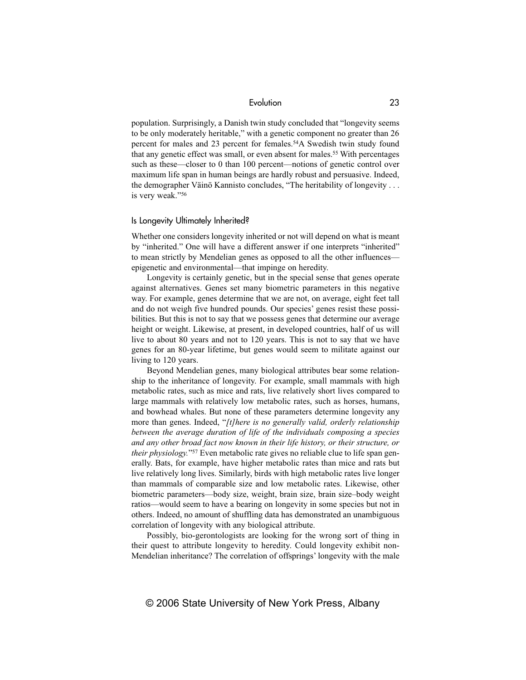population. Surprisingly, a Danish twin study concluded that "longevity seems to be only moderately heritable," with a genetic component no greater than 26 percent for males and 23 percent for females.<sup>54</sup>A Swedish twin study found that any genetic effect was small, or even absent for males.<sup>55</sup> With percentages such as these—closer to 0 than 100 percent—notions of genetic control over maximum life span in human beings are hardly robust and persuasive. Indeed, the demographer Väinö Kannisto concludes, "The heritability of longevity . . . is very weak."56

#### Is Longevity Ultimately Inherited?

Whether one considers longevity inherited or not will depend on what is meant by "inherited." One will have a different answer if one interprets "inherited" to mean strictly by Mendelian genes as opposed to all the other influences epigenetic and environmental—that impinge on heredity.

Longevity is certainly genetic, but in the special sense that genes operate against alternatives. Genes set many biometric parameters in this negative way. For example, genes determine that we are not, on average, eight feet tall and do not weigh five hundred pounds. Our species' genes resist these possibilities. But this is not to say that we possess genes that determine our average height or weight. Likewise, at present, in developed countries, half of us will live to about 80 years and not to 120 years. This is not to say that we have genes for an 80-year lifetime, but genes would seem to militate against our living to 120 years.

Beyond Mendelian genes, many biological attributes bear some relationship to the inheritance of longevity. For example, small mammals with high metabolic rates, such as mice and rats, live relatively short lives compared to large mammals with relatively low metabolic rates, such as horses, humans, and bowhead whales. But none of these parameters determine longevity any more than genes. Indeed, "*[t]here is no generally valid, orderly relationship between the average duration of life of the individuals composing a species and any other broad fact now known in their life history, or their structure, or their physiology.*"<sup>57</sup> Even metabolic rate gives no reliable clue to life span generally. Bats, for example, have higher metabolic rates than mice and rats but live relatively long lives. Similarly, birds with high metabolic rates live longer than mammals of comparable size and low metabolic rates. Likewise, other biometric parameters—body size, weight, brain size, brain size–body weight ratios—would seem to have a bearing on longevity in some species but not in others. Indeed, no amount of shuffling data has demonstrated an unambiguous correlation of longevity with any biological attribute.

Possibly, bio-gerontologists are looking for the wrong sort of thing in their quest to attribute longevity to heredity. Could longevity exhibit non-Mendelian inheritance? The correlation of offsprings' longevity with the male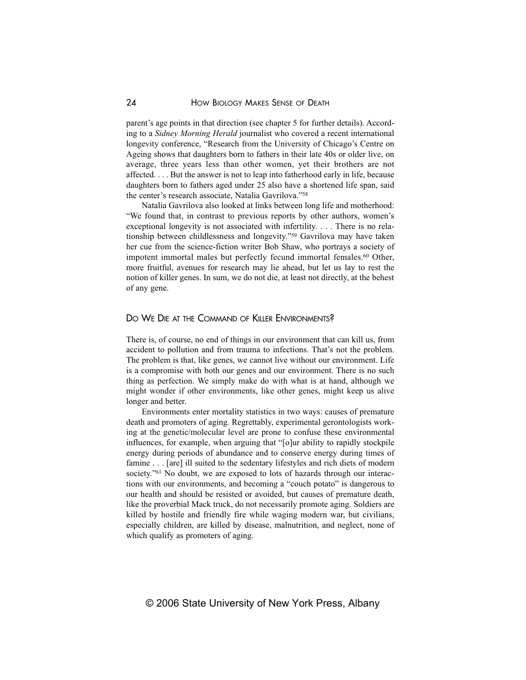parent's age points in that direction (see chapter 5 for further details). According to a *Sidney Morning Herald* journalist who covered a recent international longevity conference, "Research from the University of Chicago's Centre on Ageing shows that daughters born to fathers in their late 40s or older live, on average, three years less than other women, yet their brothers are not affected. . . . But the answer is not to leap into fatherhood early in life, because daughters born to fathers aged under 25 also have a shortened life span, said the center's research associate, Natalia Gavrilova."58

Natalia Gavrilova also looked at links between long life and motherhood: "We found that, in contrast to previous reports by other authors, women's exceptional longevity is not associated with infertility. . . . There is no relationship between childlessness and longevity."59 Gavrilova may have taken her cue from the science-fiction writer Bob Shaw, who portrays a society of impotent immortal males but perfectly fecund immortal females.<sup>60</sup> Other, more fruitful, avenues for research may lie ahead, but let us lay to rest the notion of killer genes. In sum, we do not die, at least not directly, at the behest of any gene.

# DO WE DIE AT THE COMMAND OF KILLER ENVIRONMENTS?

There is, of course, no end of things in our environment that can kill us, from accident to pollution and from trauma to infections. That's not the problem. The problem is that, like genes, we cannot live without our environment. Life is a compromise with both our genes and our environment. There is no such thing as perfection. We simply make do with what is at hand, although we might wonder if other environments, like other genes, might keep us alive longer and better.

Environments enter mortality statistics in two ways: causes of premature death and promoters of aging. Regrettably, experimental gerontologists working at the genetic/molecular level are prone to confuse these environmental influences, for example, when arguing that "[o]ur ability to rapidly stockpile energy during periods of abundance and to conserve energy during times of famine . . . [are] ill suited to the sedentary lifestyles and rich diets of modern society."<sup>61</sup> No doubt, we are exposed to lots of hazards through our interactions with our environments, and becoming a "couch potato" is dangerous to our health and should be resisted or avoided, but causes of premature death, like the proverbial Mack truck, do not necessarily promote aging. Soldiers are killed by hostile and friendly fire while waging modern war, but civilians, especially children, are killed by disease, malnutrition, and neglect, none of which qualify as promoters of aging.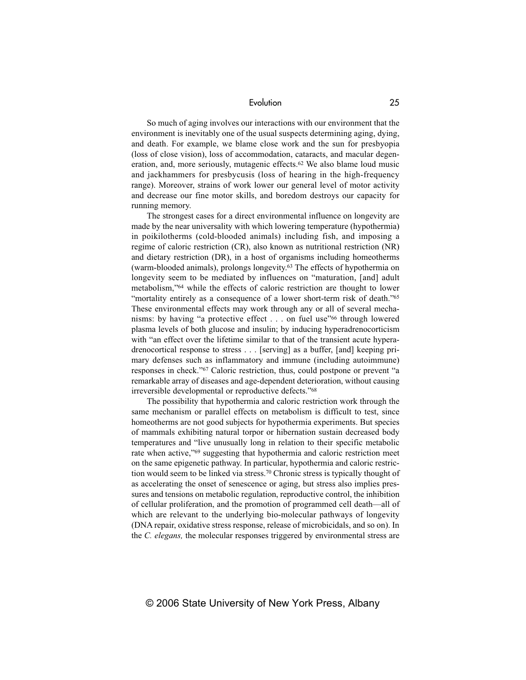So much of aging involves our interactions with our environment that the environment is inevitably one of the usual suspects determining aging, dying, and death. For example, we blame close work and the sun for presbyopia (loss of close vision), loss of accommodation, cataracts, and macular degeneration, and, more seriously, mutagenic effects.62 We also blame loud music and jackhammers for presbycusis (loss of hearing in the high-frequency range). Moreover, strains of work lower our general level of motor activity and decrease our fine motor skills, and boredom destroys our capacity for running memory.

The strongest cases for a direct environmental influence on longevity are made by the near universality with which lowering temperature (hypothermia) in poikilotherms (cold-blooded animals) including fish, and imposing a regime of caloric restriction (CR), also known as nutritional restriction (NR) and dietary restriction (DR), in a host of organisms including homeotherms (warm-blooded animals), prolongs longevity.63 The effects of hypothermia on longevity seem to be mediated by influences on "maturation, [and] adult metabolism,"64 while the effects of caloric restriction are thought to lower "mortality entirely as a consequence of a lower short-term risk of death."65 These environmental effects may work through any or all of several mechanisms: by having "a protective effect . . . on fuel use"66 through lowered plasma levels of both glucose and insulin; by inducing hyperadrenocorticism with "an effect over the lifetime similar to that of the transient acute hyperadrenocortical response to stress . . . [serving] as a buffer, [and] keeping primary defenses such as inflammatory and immune (including autoimmune) responses in check."67 Caloric restriction, thus, could postpone or prevent "a remarkable array of diseases and age-dependent deterioration, without causing irreversible developmental or reproductive defects."68

The possibility that hypothermia and caloric restriction work through the same mechanism or parallel effects on metabolism is difficult to test, since homeotherms are not good subjects for hypothermia experiments. But species of mammals exhibiting natural torpor or hibernation sustain decreased body temperatures and "live unusually long in relation to their specific metabolic rate when active,"69 suggesting that hypothermia and caloric restriction meet on the same epigenetic pathway. In particular, hypothermia and caloric restriction would seem to be linked via stress.70 Chronic stress is typically thought of as accelerating the onset of senescence or aging, but stress also implies pressures and tensions on metabolic regulation, reproductive control, the inhibition of cellular proliferation, and the promotion of programmed cell death—all of which are relevant to the underlying bio-molecular pathways of longevity (DNA repair, oxidative stress response, release of microbicidals, and so on). In the *C. elegans,* the molecular responses triggered by environmental stress are